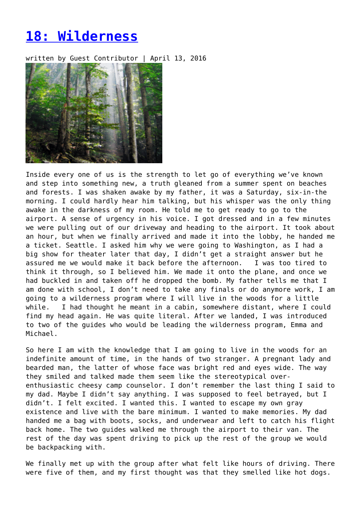## **[18: Wilderness](https://entropymag.org/18-wilderness/)**

written by Guest Contributor | April 13, 2016



Inside every one of us is the strength to let go of everything we've known and step into something new, a truth gleaned from a summer spent on beaches and forests. I was shaken awake by my father, it was a Saturday, six-in-the morning. I could hardly hear him talking, but his whisper was the only thing awake in the darkness of my room. He told me to get ready to go to the airport. A sense of urgency in his voice. I got dressed and in a few minutes we were pulling out of our driveway and heading to the airport. It took about an hour, but when we finally arrived and made it into the lobby, he handed me a ticket. Seattle. I asked him why we were going to Washington, as I had a big show for theater later that day, I didn't get a straight answer but he assured me we would make it back before the afternoon. I was too tired to think it through, so I believed him. We made it onto the plane, and once we had buckled in and taken off he dropped the bomb. My father tells me that I am done with school, I don't need to take any finals or do anymore work, I am going to a wilderness program where I will live in the woods for a little while. I had thought he meant in a cabin, somewhere distant, where I could find my head again. He was quite literal. After we landed, I was introduced to two of the guides who would be leading the wilderness program, Emma and Michael.

So here I am with the knowledge that I am going to live in the woods for an indefinite amount of time, in the hands of two stranger. A pregnant lady and bearded man, the latter of whose face was bright red and eyes wide. The way they smiled and talked made them seem like the stereotypical overenthusiastic cheesy camp counselor. I don't remember the last thing I said to my dad. Maybe I didn't say anything. I was supposed to feel betrayed, but I didn't. I felt excited. I wanted this. I wanted to escape my own gray existence and live with the bare minimum. I wanted to make memories. My dad handed me a bag with boots, socks, and underwear and left to catch his flight back home. The two guides walked me through the airport to their van. The rest of the day was spent driving to pick up the rest of the group we would be backpacking with.

We finally met up with the group after what felt like hours of driving. There were five of them, and my first thought was that they smelled like hot dogs.